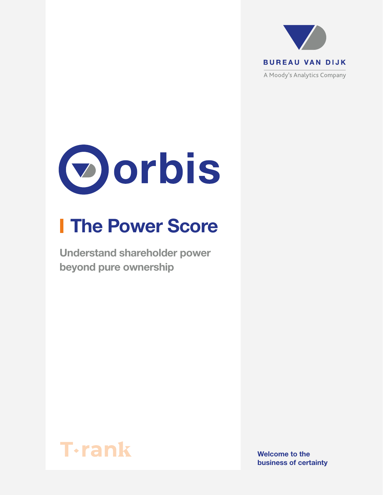



# **I The Power Score**

Understand shareholder power beyond pure ownership



Welcome to the business of certainty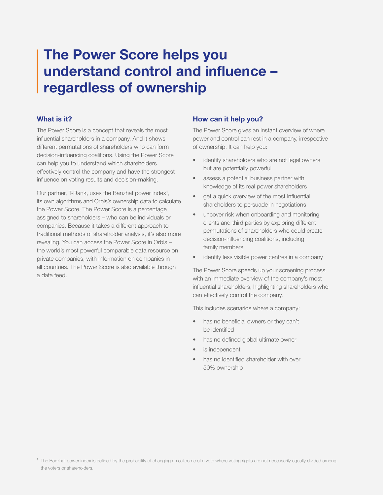# The Power Score helps you understand control and influence – regardless of ownership

### What is it?

The Power Score is a concept that reveals the most influential shareholders in a company. And it shows different permutations of shareholders who can form decision-influencing coalitions. Using the Power Score can help you to understand which shareholders effectively control the company and have the strongest influence on voting results and decision-making.

Our partner, T-Rank, uses the Banzhaf power index<sup>1</sup>, its own algorithms and Orbis's ownership data to calculate the Power Score. The Power Score is a percentage assigned to shareholders – who can be individuals or companies. Because it takes a different approach to traditional methods of shareholder analysis, it's also more revealing. You can access the Power Score in Orbis – the world's most powerful comparable data resource on private companies, with information on companies in all countries. The Power Score is also available through a data feed.

## How can it help you?

The Power Score gives an instant overview of where power and control can rest in a company, irrespective of ownership. It can help you:

- identify shareholders who are not legal owners but are potentially powerful
- assess a potential business partner with knowledge of its real power shareholders
- get a quick overview of the most influential shareholders to persuade in negotiations
- uncover risk when onboarding and monitoring clients and third parties by exploring different permutations of shareholders who could create decision-influencing coalitions, including family members
- identify less visible power centres in a company

The Power Score speeds up your screening process with an immediate overview of the company's most influential shareholders, highlighting shareholders who can effectively control the company.

This includes scenarios where a company:

- has no beneficial owners or they can't be identified
- has no defined global ultimate owner
- is independent
- has no identified shareholder with over 50% ownership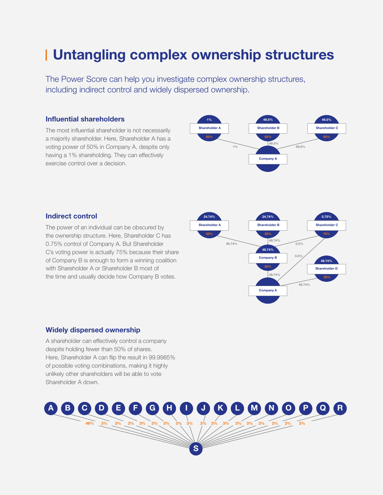# Untangling complex ownership structures

The Power Score can help you investigate complex ownership structures, including indirect control and widely dispersed ownership.

### Influential shareholders

The most influential shareholder is not necessarily a majority shareholder. Here, Shareholder A has a voting power of 50% in Company A, despite only having a 1% shareholding. They can effectively exercise control over a decision.



### Indirect control

The power of an individual can be obscured by the ownership structure. Here, Shareholder C has 0.75% control of Company A. But Shareholder C's voting power is actually 75% because their share of Company B is enough to form a winning coalition with Shareholder A or Shareholder B most of the time and usually decide how Company B votes.



#### Widely dispersed ownership

A shareholder can effectively control a company despite holding fewer than 50% of shares. Here, Shareholder A can flip the result in 99.9985% of possible voting combinations, making it highly unlikely other shareholders will be able to vote Shareholder A down.